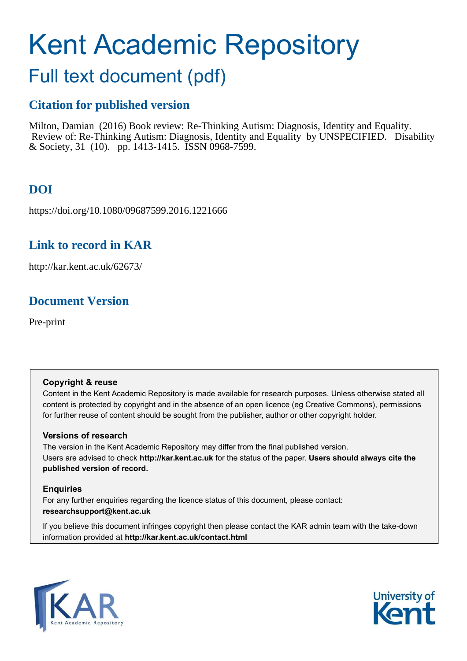# Kent Academic Repository

## Full text document (pdf)

## **Citation for published version**

Milton, Damian (2016) Book review: Re-Thinking Autism: Diagnosis, Identity and Equality. Review of: Re-Thinking Autism: Diagnosis, Identity and Equality by UNSPECIFIED. Disability & Society, 31 (10). pp. 1413-1415. ISSN 0968-7599.

## **DOI**

https://doi.org/10.1080/09687599.2016.1221666

## **Link to record in KAR**

http://kar.kent.ac.uk/62673/

## **Document Version**

Pre-print

#### **Copyright & reuse**

Content in the Kent Academic Repository is made available for research purposes. Unless otherwise stated all content is protected by copyright and in the absence of an open licence (eg Creative Commons), permissions for further reuse of content should be sought from the publisher, author or other copyright holder.

#### **Versions of research**

The version in the Kent Academic Repository may differ from the final published version. Users are advised to check **http://kar.kent.ac.uk** for the status of the paper. **Users should always cite the published version of record.**

#### **Enquiries**

For any further enquiries regarding the licence status of this document, please contact: **researchsupport@kent.ac.uk**

If you believe this document infringes copyright then please contact the KAR admin team with the take-down information provided at **http://kar.kent.ac.uk/contact.html**



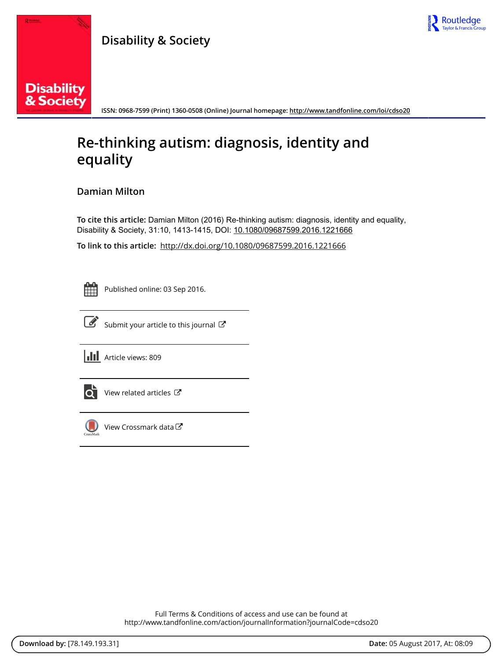

## **Disability & Society**



**ISSN: 0968-7599 (Print) 1360-0508 (Online) Journal homepage:<http://www.tandfonline.com/loi/cdso20>**

## **Re-thinking autism: diagnosis, identity and equality**

#### **Damian Milton**

**To cite this article:** Damian Milton (2016) Re-thinking autism: diagnosis, identity and equality, Disability & Society, 31:10, 1413-1415, DOI: [10.1080/09687599.2016.1221666](http://www.tandfonline.com/action/showCitFormats?doi=10.1080/09687599.2016.1221666)

**To link to this article:** <http://dx.doi.org/10.1080/09687599.2016.1221666>



<span id="page-1-1"></span>Published online: 03 Sep 2016.

<span id="page-1-0"></span>

 $\overrightarrow{S}$  [Submit your article to this journal](http://www.tandfonline.com/action/authorSubmission?journalCode=cdso20&show=instructions)  $\overrightarrow{S}$ 





<span id="page-1-2"></span>[View related articles](http://www.tandfonline.com/doi/mlt/10.1080/09687599.2016.1221666)  $\mathbb{Z}$ 



<span id="page-1-3"></span>[View Crossmark data](http://crossmark.crossref.org/dialog/?doi=10.1080/09687599.2016.1221666&domain=pdf&date_stamp=2016-09-03)

Full Terms & Conditions of access and use can be found at <http://www.tandfonline.com/action/journalInformation?journalCode=cdso20>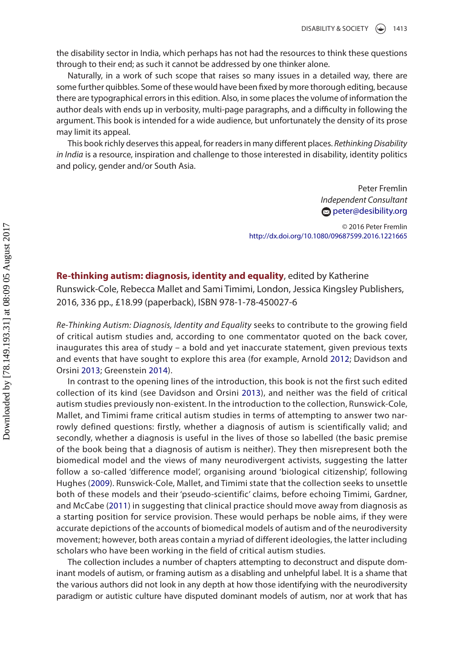the disability sector in India, which perhaps has not had the resources to think these questions through to their end; as such it cannot be addressed by one thinker alone.

Naturally, in a work of such scope that raises so many issues in a detailed way, there are some further quibbles. Some of these would have been fixed by more thorough editing, because there are typographical errors in this edition. Also, in some places the volume of information the author deals with ends up in verbosity, multi-page paragraphs, and a difficulty in following the argument. This book is intended for a wide audience, but unfortunately the density of its prose may limit its appeal.

<span id="page-2-12"></span>This book richly deserves this appeal, for readers in many diferent places. Rethinking Disability in India is a resource, inspiration and challenge to those interested in disability, identity politics and policy, gender and/or South Asia.

> <span id="page-2-15"></span><span id="page-2-13"></span><span id="page-2-11"></span><span id="page-2-10"></span><span id="page-2-9"></span><span id="page-2-8"></span><span id="page-2-7"></span><span id="page-2-6"></span>Peter Fremlin Independent Consultant **Q** [peter@desibility.org](mailto: peter@desibility.org)

© 2016 Peter Fremlin <http://dx.doi.org/10.1080/09687599.2016.1221665>

#### **Re-thinking autism: diagnosis, identity and equality**, edited by Katherine

Runswick-Cole, Rebecca Mallet and Sami Timimi, London, Jessica Kingsley Publishers, 2016, 336 pp., £18.99 (paperback), ISBN 978-1-78-450027-6

<span id="page-2-14"></span>Re-Thinking Autism: Diagnosis, Identity and Equality seeks to contribute to the growing field of critical autism studies and, according to one commentator quoted on the back cover, inaugurates this area of study – a bold and yet inaccurate statement, given previous texts and events that have sought to explore this area (for example, Arnold 2012; Davidson and Orsini [2013;](#page-2-0) Greenstein [2014](#page-2-1)).

In contrast to the opening lines of the introduction, this book is not the first such edited collection of its kind (see Davidson and Orsini [2013](#page-2-0)), and neither was the field of critical autism studies previously non-existent. In the introduction to the collection, Runswick-Cole, Mallet, and Timimi frame critical autism studies in terms of attempting to answer two narrowly defined questions: firstly, whether a diagnosis of autism is scientifically valid; and secondly, whether a diagnosis is useful in the lives of those so labelled (the basic premise of the book being that a diagnosis of autism is neither). They then misrepresent both the biomedical model and the views of many neurodivergent activists, suggesting the latter follow a so-called 'difference model', organising around 'biological citizenship', following Hughes [\(2009\)](#page-2-2). Runswick-Cole, Mallet, and Timimi state that the collection seeks to unsettle both of these models and their 'pseudo-scientific' claims, before echoing Timimi, Gardner, and McCabe ([2011](#page-3-0)) in suggesting that clinical practice should move away from diagnosis as a starting position for service provision. These would perhaps be noble aims, if they were accurate depictions of the accounts of biomedical models of autism and of the neurodiversity movement; however, both areas contain a myriad of different ideologies, the latter including scholars who have been working in the field of critical autism studies.

<span id="page-2-5"></span><span id="page-2-4"></span><span id="page-2-3"></span><span id="page-2-2"></span><span id="page-2-1"></span><span id="page-2-0"></span>The collection includes a number of chapters attempting to deconstruct and dispute dominant models of autism, or framing autism as a disabling and unhelpful label. It is a shame that the various authors did not look in any depth at how those identifying with the neurodiversity paradigm or autistic culture have disputed dominant models of autism, nor at work that has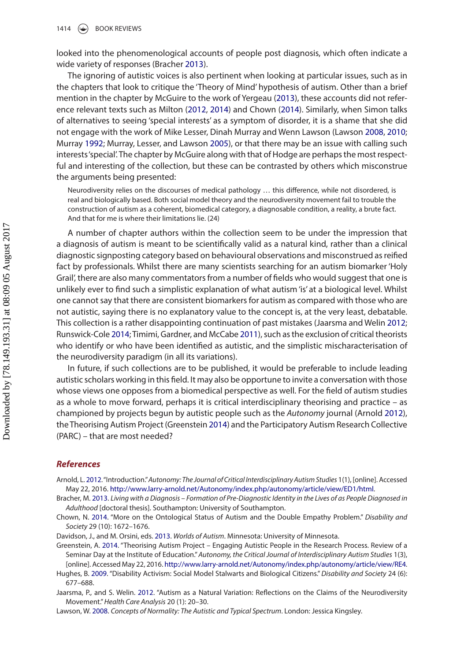<span id="page-3-4"></span><span id="page-3-2"></span>looked into the phenomenological accounts of people post diagnosis, which often indicate a wide variety of responses (Bracher 2013).

<span id="page-3-6"></span><span id="page-3-5"></span><span id="page-3-3"></span>The ignoring of autistic voices is also pertinent when looking at particular issues, such as in the chapters that look to critique the 'Theory of Mind' hypothesis of autism. Other than a brief mention in the chapter by McGuire to the work of Yergeau ([2013](#page-3-1)), these accounts did not reference relevant texts such as Milton ([2012](#page-3-2), [2014\)](#page-3-3) and Chown ([2014](#page-2-3)). Similarly, when Simon talks of alternatives to seeing 'special interests' as a symptom of disorder, it is a shame that she did not engage with the work of Mike Lesser, Dinah Murray and wenn Lawson (Lawson [2008,](#page-2-4) [2010](#page-3-4); Murray [1992;](#page-3-5) Murray, Lesser, and Lawson [2005\)](#page-3-6), or that there may be an issue with calling such interests 'special'. The chapter by McGuire along with that of Hodge are perhaps the most respectful and interesting of the collection, but these can be contrasted by others which misconstrue the arguments being presented:

<span id="page-3-7"></span><span id="page-3-1"></span><span id="page-3-0"></span>Neurodiversity relies on the discourses of medical pathology … this diference, while not disordered, is real and biologically based. Both social model theory and the neurodiversity movement fail to trouble the construction of autism as a coherent, biomedical category, a diagnosable condition, a reality, a brute fact. And that for me is where their limitations lie. (24)

A number of chapter authors within the collection seem to be under the impression that a diagnosis of autism is meant to be scientiically valid as a natural kind, rather than a clinical diagnostic signposting category based on behavioural observations and misconstrued as reified fact by professionals. whilst there are many scientists searching for an autism biomarker 'Holy Grail', there are also many commentators from a number of fields who would suggest that one is unlikely ever to find such a simplistic explanation of what autism 'is' at a biological level. Whilst one cannot say that there are consistent biomarkers for autism as compared with those who are not autistic, saying there is no explanatory value to the concept is, at the very least, debatable. This collection is a rather disappointing continuation of past mistakes (Jaarsma and welin [2012](#page-2-5); Runswick-Cole [2014;](#page-3-7) Timimi, Gardner, and McCabe [2011](#page-3-0)), such as the exclusion of critical theorists who identify or who have been identified as autistic, and the simplistic mischaracterisation of the neurodiversity paradigm (in all its variations).

In future, if such collections are to be published, it would be preferable to include leading autistic scholars working in this field. It may also be opportune to invite a conversation with those whose views one opposes from a biomedical perspective as well. For the field of autism studies as a whole to move forward, perhaps it is critical interdisciplinary theorising and practice – as championed by projects begun by autistic people such as the Autonomy journal (Arnold 2012), the Theorising Autism Project (Greenstein [2014\)](#page-2-1) and the Participatory Autism Research Collective (PARC) – that are most needed?

#### **References**

- Arnold, L. 2012. "Introduction." Autonomy: The Journal of Critical Interdisciplinary Autism Studies 1(1), [online]. Accessed May 22, 2016.<http://www.larry-arnold.net/Autonomy/index.php/autonomy/article/view/ED1/html>.
- Bracher, M. 2013. Living with a Diagnosis Formation of Pre-Diagnostic Identity in the Lives of as People Diagnosed in Adulthood [doctoral thesis]. Southampton: University of Southampton.
- Chown, N. [2014.](#page-2-6) "More on the Ontological Status of Autism and the Double Empathy Problem." Disability and Society 29 (10): 1672–1676.
- Davidson, J., and M. Orsini, eds. [2013](#page-1-0). Worlds of Autism. Minnesota: University of Minnesota.
- Greenstein, A. [2014](#page-1-1). "Theorising Autism Project Engaging Autistic People in the Research Process. Review of a Seminar Day at the Institute of Education." Autonomy, the Critical Journal of Interdisciplinary Autism Studies 1(3), [online]. Accessed May 22, 2016. [http://www.larry-arnold.net/Autonomy/index.php/autonomy/article/view/RE4.](http://www.larry-arnold.net/Autonomy/index.php/autonomy/article/view/RE4)
- Hughes, B. [2009.](#page-1-2) "Disability Activism: Social Model Stalwarts and Biological Citizens." Disability and Society 24 (6): 677–688.
- Jaarsma, P., and S. welin. [2012](#page-2-7). "Autism as a Natural variation: Relections on the Claims of the Neurodiversity Movement." Health Care Analysis 20 (1): 20–30.

Lawson, W. [2008.](#page-2-8) Concepts of Normality: The Autistic and Typical Spectrum. London: Jessica Kingsley.